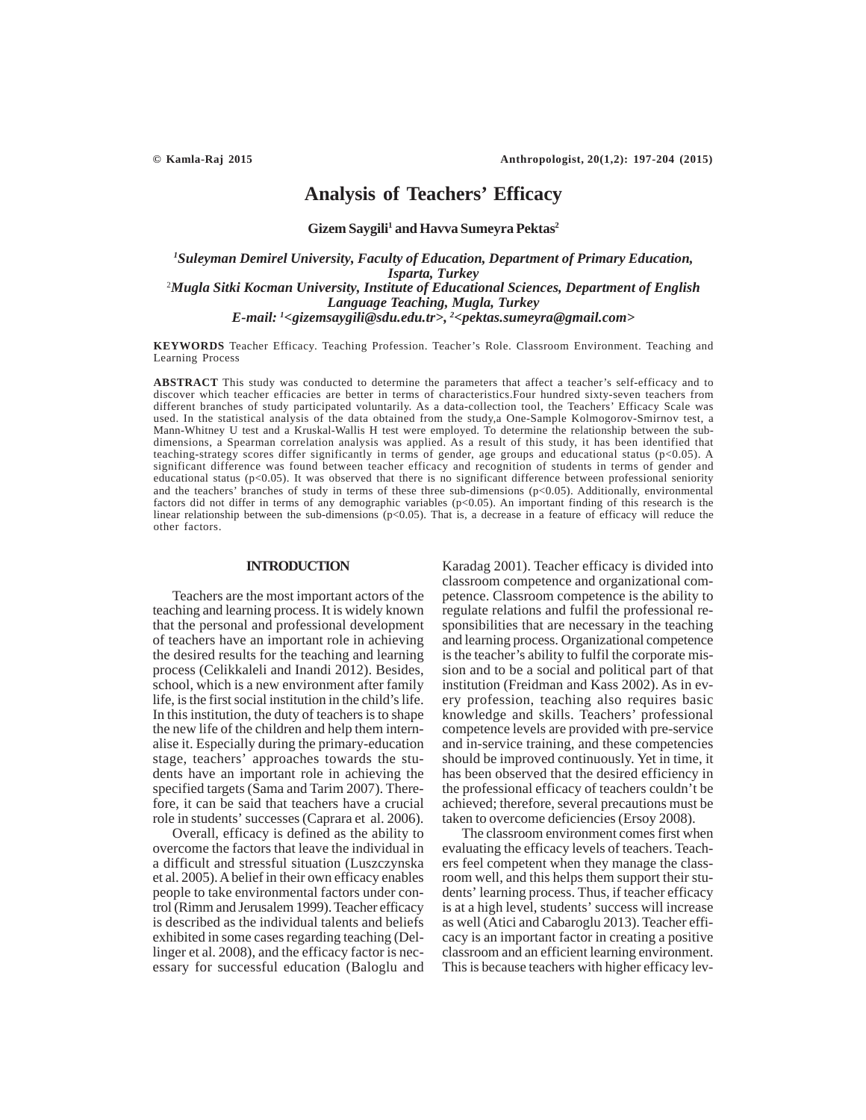# **Analysis of Teachers' Efficacy**

Gizem Saygili<sup>1</sup> and Havva Sumeyra Pektas<sup>2</sup>

*1 Suleyman Demirel University, Faculty of Education, Department of Primary Education, Isparta, Turkey* 2 *Mugla Sitki Kocman University, Institute of Educational Sciences, Department of English Language Teaching, Mugla, Turkey E-mail: 1 <gizemsaygili@sdu.edu.tr>, 2 <pektas.sumeyra@gmail.com>*

**KEYWORDS** Teacher Efficacy. Teaching Profession. Teacher's Role. Classroom Environment. Teaching and Learning Process

**ABSTRACT** This study was conducted to determine the parameters that affect a teacher's self-efficacy and to discover which teacher efficacies are better in terms of characteristics.Four hundred sixty-seven teachers from different branches of study participated voluntarily. As a data-collection tool, the Teachers' Efficacy Scale was used. In the statistical analysis of the data obtained from the study,a One-Sample Kolmogorov-Smirnov test, a Mann-Whitney U test and a Kruskal-Wallis H test were employed. To determine the relationship between the subdimensions, a Spearman correlation analysis was applied. As a result of this study, it has been identified that teaching-strategy scores differ significantly in terms of gender, age groups and educational status (p<0.05). A significant difference was found between teacher efficacy and recognition of students in terms of gender and educational status ( $p<0.05$ ). It was observed that there is no significant difference between professional seniority and the teachers' branches of study in terms of these three sub-dimensions (p<0.05). Additionally, environmental factors did not differ in terms of any demographic variables (p<0.05). An important finding of this research is the linear relationship between the sub-dimensions (p<0.05). That is, a decrease in a feature of efficacy will reduce the other factors.

## **INTRODUCTION**

Teachers are the most important actors of the teaching and learning process. It is widely known that the personal and professional development of teachers have an important role in achieving the desired results for the teaching and learning process (Celikkaleli and Inandi 2012). Besides, school, which is a new environment after family life, is the first social institution in the child's life. In this institution, the duty of teachers is to shape the new life of the children and help them internalise it. Especially during the primary-education stage, teachers' approaches towards the students have an important role in achieving the specified targets (Sama and Tarim 2007). Therefore, it can be said that teachers have a crucial role in students' successes (Caprara et al. 2006).

Overall, efficacy is defined as the ability to overcome the factors that leave the individual in a difficult and stressful situation (Luszczynska et al. 2005). A belief in their own efficacy enables people to take environmental factors under control (Rimm and Jerusalem 1999). Teacher efficacy is described as the individual talents and beliefs exhibited in some cases regarding teaching (Dellinger et al. 2008), and the efficacy factor is necessary for successful education (Baloglu and Karadag 2001). Teacher efficacy is divided into classroom competence and organizational competence. Classroom competence is the ability to regulate relations and fulfil the professional responsibilities that are necessary in the teaching and learning process. Organizational competence is the teacher's ability to fulfil the corporate mission and to be a social and political part of that institution (Freidman and Kass 2002). As in every profession, teaching also requires basic knowledge and skills. Teachers' professional competence levels are provided with pre-service and in-service training, and these competencies should be improved continuously. Yet in time, it has been observed that the desired efficiency in the professional efficacy of teachers couldn't be achieved; therefore, several precautions must be taken to overcome deficiencies (Ersoy 2008).

The classroom environment comes first when evaluating the efficacy levels of teachers. Teachers feel competent when they manage the classroom well, and this helps them support their students' learning process. Thus, if teacher efficacy is at a high level, students' success will increase as well (Atici and Cabaroglu 2013). Teacher efficacy is an important factor in creating a positive classroom and an efficient learning environment. This is because teachers with higher efficacy lev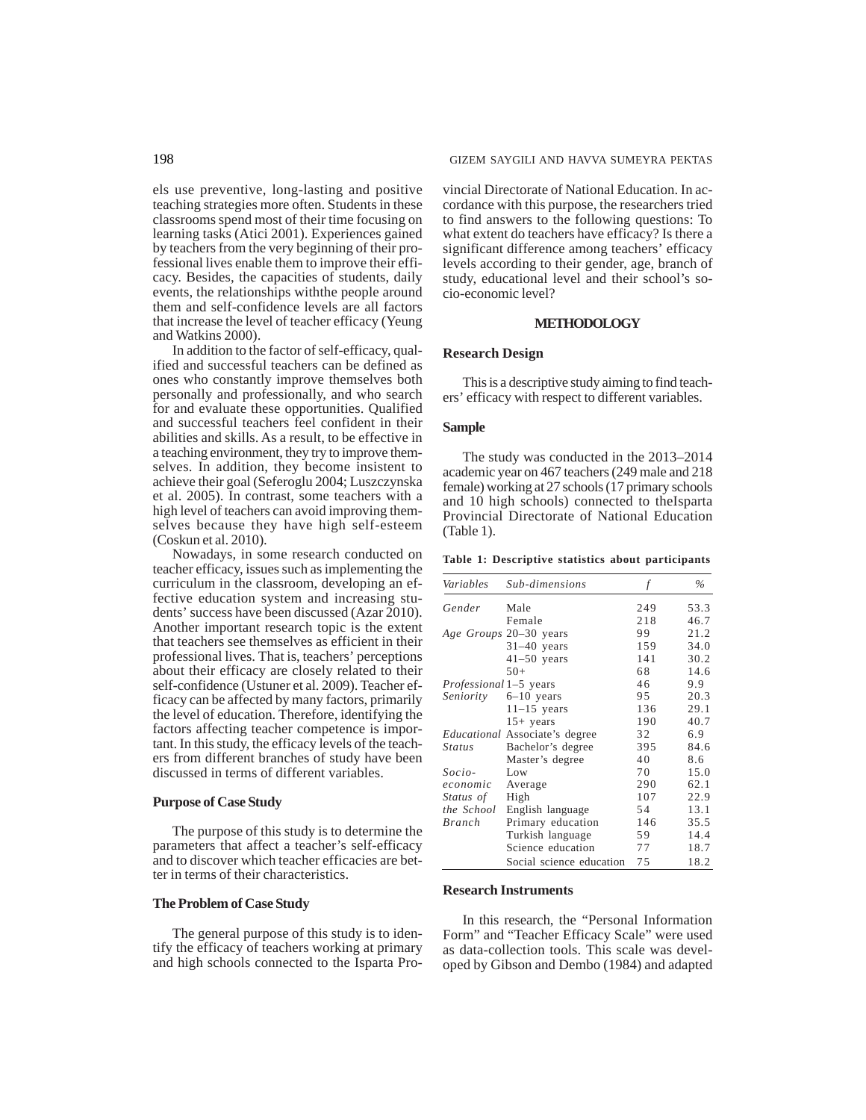els use preventive, long-lasting and positive teaching strategies more often. Students in these classrooms spend most of their time focusing on learning tasks (Atici 2001). Experiences gained by teachers from the very beginning of their professional lives enable them to improve their efficacy. Besides, the capacities of students, daily events, the relationships withthe people around them and self-confidence levels are all factors that increase the level of teacher efficacy (Yeung and Watkins 2000).

In addition to the factor of self-efficacy, qualified and successful teachers can be defined as ones who constantly improve themselves both personally and professionally, and who search for and evaluate these opportunities. Qualified and successful teachers feel confident in their abilities and skills. As a result, to be effective in a teaching environment, they try to improve themselves. In addition, they become insistent to achieve their goal (Seferoglu 2004; Luszczynska et al. 2005). In contrast, some teachers with a high level of teachers can avoid improving themselves because they have high self-esteem (Coskun et al. 2010).

Nowadays, in some research conducted on teacher efficacy, issues such as implementing the curriculum in the classroom, developing an effective education system and increasing students' success have been discussed (Azar 2010). Another important research topic is the extent that teachers see themselves as efficient in their professional lives. That is, teachers' perceptions about their efficacy are closely related to their self-confidence (Ustuner et al. 2009). Teacher efficacy can be affected by many factors, primarily the level of education. Therefore, identifying the factors affecting teacher competence is important. In this study, the efficacy levels of the teachers from different branches of study have been discussed in terms of different variables.

#### **Purpose of Case Study**

The purpose of this study is to determine the parameters that affect a teacher's self-efficacy and to discover which teacher efficacies are better in terms of their characteristics.

## **The Problem of Case Study**

The general purpose of this study is to identify the efficacy of teachers working at primary and high schools connected to the Isparta Provincial Directorate of National Education. In accordance with this purpose, the researchers tried to find answers to the following questions: To what extent do teachers have efficacy? Is there a significant difference among teachers' efficacy levels according to their gender, age, branch of study, educational level and their school's socio-economic level?

## **METHODOLOGY**

#### **Research Design**

This is a descriptive study aiming to find teachers' efficacy with respect to different variables.

## **Sample**

The study was conducted in the 2013–2014 academic year on 467 teachers (249 male and 218 female) working at 27 schools (17 primary schools and 10 high schools) connected to theIsparta Provincial Directorate of National Education (Table 1).

**Table 1: Descriptive statistics about participants**

| Variables                     | Sub-dimensions                        | f   | $\%$ |
|-------------------------------|---------------------------------------|-----|------|
| Gender                        | Male                                  | 249 | 53.3 |
|                               | Female                                | 218 | 46.7 |
|                               | Age Groups 20–30 years                | 99  | 21.2 |
|                               | $31-40$ years                         | 159 | 34.0 |
|                               | $41-50$ years                         | 141 | 30.2 |
|                               | $50+$                                 | 68  | 14.6 |
| <i>Professional</i> 1–5 years |                                       | 46  | 9.9  |
| Seniority                     | $6-10$ years                          | 95  | 20.3 |
|                               | $11-15$ years                         | 136 | 29.1 |
|                               | $15+$ years                           | 190 | 40.7 |
|                               | <i>Educational</i> Associate's degree | 32  | 6.9  |
| <i>Status</i>                 | Bachelor's degree                     | 395 | 84.6 |
|                               | Master's degree                       | 40  | 8.6  |
| Socio-                        | Low                                   | 70  | 15.0 |
| economic                      | Average                               | 290 | 62.1 |
| Status of                     | High                                  | 107 | 22.9 |
| the School                    | English language                      | 54  | 13.1 |
| Branch                        | Primary education                     | 146 | 35.5 |
|                               | Turkish language                      | 59  | 14.4 |
|                               | Science education                     | 77  | 18.7 |
|                               | Social science education              | 75  | 18.2 |

#### **Research Instruments**

In this research, the "Personal Information Form" and "Teacher Efficacy Scale" were used as data-collection tools. This scale was developed by Gibson and Dembo (1984) and adapted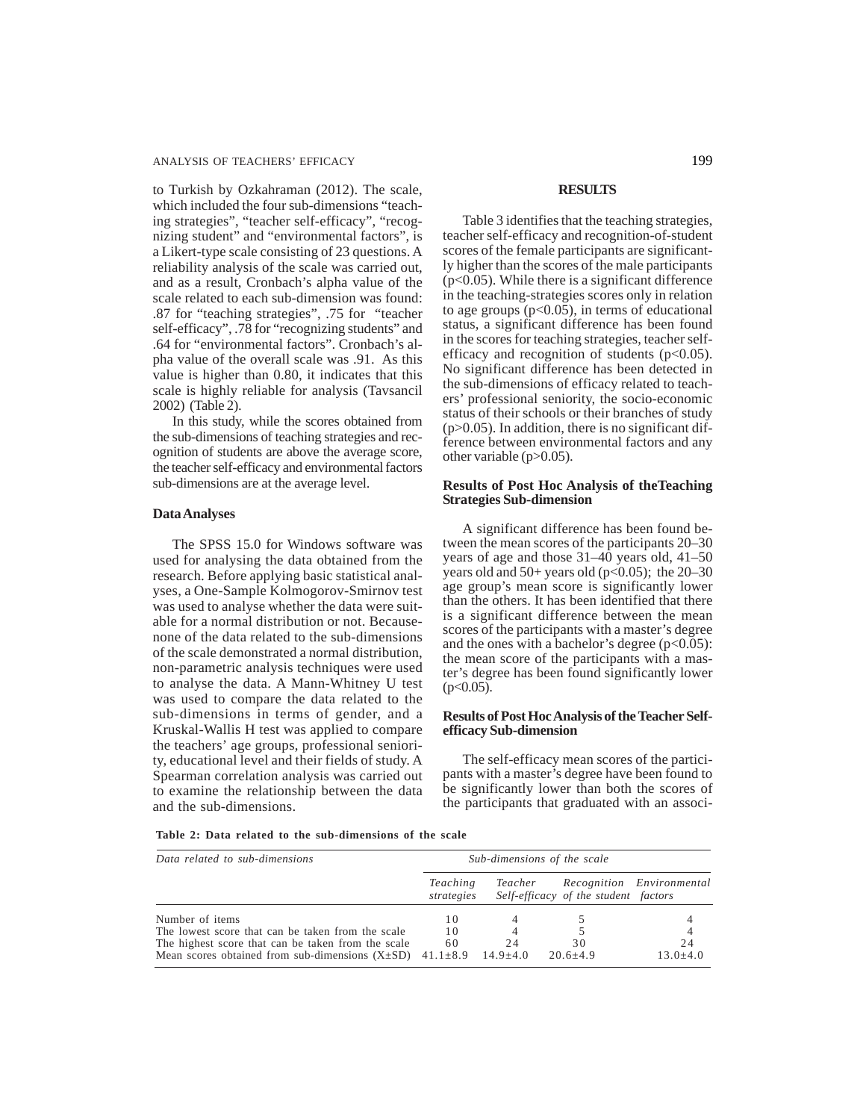to Turkish by Ozkahraman (2012). The scale, which included the four sub-dimensions "teaching strategies", "teacher self-efficacy", "recognizing student" and "environmental factors", is a Likert-type scale consisting of 23 questions. A reliability analysis of the scale was carried out, and as a result, Cronbach's alpha value of the scale related to each sub-dimension was found: .87 for "teaching strategies", .75 for "teacher self-efficacy", .78 for "recognizing students" and .64 for "environmental factors". Cronbach's alpha value of the overall scale was .91. As this value is higher than 0.80, it indicates that this scale is highly reliable for analysis (Tavsancil 2002) (Table 2).

In this study, while the scores obtained from the sub-dimensions of teaching strategies and recognition of students are above the average score, the teacher self-efficacy and environmental factors sub-dimensions are at the average level.

#### **Data Analyses**

The SPSS 15.0 for Windows software was used for analysing the data obtained from the research. Before applying basic statistical analyses, a One-Sample Kolmogorov-Smirnov test was used to analyse whether the data were suitable for a normal distribution or not. Becausenone of the data related to the sub-dimensions of the scale demonstrated a normal distribution, non-parametric analysis techniques were used to analyse the data. A Mann-Whitney U test was used to compare the data related to the sub-dimensions in terms of gender, and a Kruskal-Wallis H test was applied to compare the teachers' age groups, professional seniority, educational level and their fields of study. A Spearman correlation analysis was carried out to examine the relationship between the data and the sub-dimensions.

#### **RESULTS**

Table 3 identifies that the teaching strategies, teacher self-efficacy and recognition-of-student scores of the female participants are significantly higher than the scores of the male participants  $(p<0.05)$ . While there is a significant difference in the teaching-strategies scores only in relation to age groups  $(p<0.05)$ , in terms of educational status, a significant difference has been found in the scores for teaching strategies, teacher selfefficacy and recognition of students  $(p<0.05)$ . No significant difference has been detected in the sub-dimensions of efficacy related to teachers' professional seniority, the socio-economic status of their schools or their branches of study  $(p>0.05)$ . In addition, there is no significant difference between environmental factors and any other variable  $(p>0.05)$ .

## **Results of Post Hoc Analysis of theTeaching Strategies Sub-dimension**

A significant difference has been found between the mean scores of the participants 20–30 years of age and those 31–40 years old, 41–50 years old and  $50+$  years old (p<0.05); the 20–30 age group's mean score is significantly lower than the others. It has been identified that there is a significant difference between the mean scores of the participants with a master's degree and the ones with a bachelor's degree  $(p<0.05)$ : the mean score of the participants with a master's degree has been found significantly lower  $(p<0.05)$ .

## **Results of Post Hoc Analysis of the Teacher Selfefficacy Sub-dimension**

The self-efficacy mean scores of the participants with a master's degree have been found to be significantly lower than both the scores of the participants that graduated with an associ-

**Table 2: Data related to the sub-dimensions of the scale**

| Data related to sub-dimensions                                                                                                                                                  | Sub-dimensions of the scale |                            |                                      |                           |  |  |
|---------------------------------------------------------------------------------------------------------------------------------------------------------------------------------|-----------------------------|----------------------------|--------------------------------------|---------------------------|--|--|
|                                                                                                                                                                                 | Teaching<br>strategies      | Teacher                    | Self-efficacy of the student factors | Recognition Environmental |  |  |
| Number of items                                                                                                                                                                 | 10                          |                            |                                      |                           |  |  |
| The lowest score that can be taken from the scale<br>The highest score that can be taken from the scale<br>Mean scores obtained from sub-dimensions $(X \pm SD)$ 41.1 $\pm 8.9$ | 10<br>60                    | 4<br>2.4<br>$14.9 \pm 4.0$ | 30<br>$20.6 + 4.9$                   | 2.4<br>$13.0 \pm 4.0$     |  |  |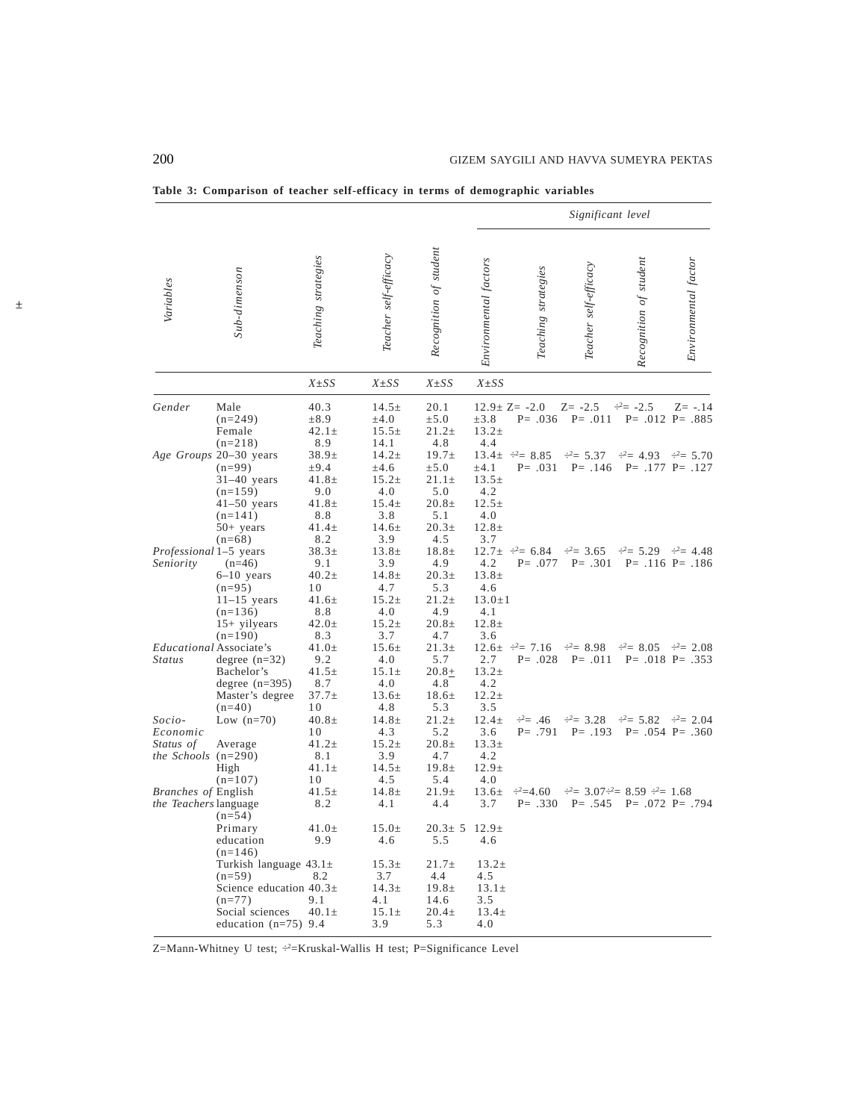|                                                                 |                                                                                                                    |                                                             |                                                                    |                                                                        |                                                                      | Significant level                             |                               |                                        |                                               |
|-----------------------------------------------------------------|--------------------------------------------------------------------------------------------------------------------|-------------------------------------------------------------|--------------------------------------------------------------------|------------------------------------------------------------------------|----------------------------------------------------------------------|-----------------------------------------------|-------------------------------|----------------------------------------|-----------------------------------------------|
| Variables                                                       | Sub-dimenson                                                                                                       | Teaching strategies                                         | Teacher self-efficacy                                              | Recognition of student                                                 | Environmental factors                                                | Teaching strategies                           | Teacher self-efficacy         | Recognition of student                 | Environmental factor                          |
|                                                                 |                                                                                                                    | $X \pm SS$                                                  | $X \pm SS$                                                         | $X \pm SS$                                                             | $X \pm SS$                                                           |                                               |                               |                                        |                                               |
| Gender                                                          | Male<br>$(n=249)$<br>Female                                                                                        | 40.3<br>$\pm 8.9$<br>$42.1 \pm$                             | $14.5 \pm$<br>$\pm 4.0$<br>$15.5 \pm$                              | 20.1<br>±5.0<br>$21.2+$                                                | $\pm 3.8$<br>$13.2 \pm$                                              | $12.9 \pm Z = -2.0$<br>$P = .036$             | $Z = -2.5$<br>$P = .011$      | $\div^2 = -2.5$                        | $Z = -.14$<br>$P = .012$ $P = .885$           |
|                                                                 | $(n=218)$<br>Age Groups 20-30 years<br>$(n=99)$<br>$31-40$ years<br>$(n=159)$                                      | 8.9<br>$38.9+$<br>$\pm 9.4$<br>$41.8 \pm$<br>9.0            | 14.1<br>$14.2 +$<br>$\pm 4.6$<br>$15.2 \pm$<br>4.0                 | 4.8<br>$19.7 \pm$<br>±5.0<br>$21.1 \pm$<br>5.0                         | 4.4<br>$\pm 4.1$<br>$13.5 \pm$<br>4.2                                | $13.4 \pm \div = 8.85$<br>$P = .031$          | $\div^2 = 5.37$<br>$P = .146$ | $-2 = 4.93$                            | $\div^2 = 5.70$<br>$P = .177$ $P = .127$      |
| Professional 1-5 years                                          | $41-50$ years<br>$(n=141)$<br>$50+$ years<br>$(n=68)$                                                              | $41.8 \pm$<br>8.8<br>$41.4\pm$<br>8.2<br>$38.3+$            | $15.4 \pm$<br>3.8<br>$14.6 \pm$<br>3.9<br>$13.8 \pm$               | $20.8 \pm$<br>5.1<br>20.3 <sub>±</sub><br>4.5<br>$18.8 \pm$            | $12.5 \pm$<br>4.0<br>$12.8 \pm$<br>3.7                               | $12.7 \pm \div 6.84$                          | $\div^2$ = 3.65               | $\div^2 = 5.29$                        | $\div^2 = 4.48$                               |
| Seniority                                                       | $(n=46)$<br>$6-10$ years<br>$(n=95)$<br>$11-15$ years<br>$(n=136)$<br>$15+$ yilyears<br>$(n=190)$                  | 9.1<br>$40.2\pm$<br>10<br>41.6±<br>8.8<br>$42.0 \pm$<br>8.3 | 3.9<br>$14.8 \pm$<br>4.7<br>$15.2 \pm$<br>4.0<br>$15.2 \pm$<br>3.7 | 4.9<br>20.3 <sub>±</sub><br>5.3<br>$21.2+$<br>4.9<br>$20.8 \pm$<br>4.7 | 4.2<br>$13.8 \pm$<br>4.6<br>$13.0 \pm 1$<br>4.1<br>$12.8 \pm$<br>3.6 | $P = .077$                                    | $P = .301$                    |                                        | $P = .116$ $P = .186$                         |
| <i>Status</i>                                                   | <i>Educational</i> Associate's<br>degree $(n=32)$<br>Bachelor's<br>degree $(n=395)$<br>Master's degree<br>$(n=40)$ | $41.0\pm$<br>9.2<br>$41.5 \pm$<br>8.7<br>$37.7 \pm$<br>10   | $15.6\pm$<br>4.0<br>$15.1 \pm$<br>4.0<br>$13.6 \pm$<br>4.8         | $21.3+$<br>5.7<br>$20.8 +$<br>4.8<br>$18.6\pm$<br>5.3                  | 2.7<br>$13.2 \pm$<br>4.2<br>$12.2 \pm$<br>3.5                        | $12.6 \pm \frac{.2}{.2} = 7.16$<br>$P = .028$ | $-2 = 8.98$<br>$P = .011$     | $-2 = 8.05$                            | $\frac{.2}{.2}$ 2.08<br>$P = .018$ $P = .353$ |
| Socio-<br>Economic<br>Status of<br><i>the Schools</i> $(n=290)$ | Low $(n=70)$<br>Average<br>High<br>$(n=107)$                                                                       | 40.8 $\pm$<br>10<br>41.2±<br>8.1<br>$41.1 \pm$<br>10        | $14.8 \pm$<br>4.3<br>$15.2 \pm$<br>3.9<br>$14.5 \pm$<br>4.5        | $21.2+$<br>5.2<br>$20.8 +$<br>4.7<br>$19.8 \pm$<br>5.4                 | $12.4 \pm$<br>3.6<br>$13.3+$<br>4.2<br>$12.9+$<br>4.0                | $\div^2 = .46$<br>$P = .791$                  | $\div^2$ = 3.28<br>$P = .193$ | $\div^2 = 5.82$                        | $\div^2$ = 2.04<br>$P = .054$ $P = .360$      |
| <i>Branches of English</i><br>the Teachers language             | $(n=54)$                                                                                                           | $41.5 \pm$<br>8.2                                           | $14.8 \pm$<br>4.1                                                  | 21.9 <sub>±</sub><br>4.4                                               | $13.6 \pm$<br>3.7                                                    | $-2=4.60$<br>$P = .330$                       | $P = .545$                    | $\div2 = 3.07 - 2 = 8.59 \div2 = 1.68$ | $P = .072$ $P = .794$                         |
|                                                                 | Primary<br>education<br>$(n=146)$                                                                                  | 41.0 $\pm$<br>9.9                                           | $15.0 \pm$<br>4.6                                                  | $20.3 \pm 5$<br>5.5                                                    | $12.9\pm$<br>4.6                                                     |                                               |                               |                                        |                                               |
|                                                                 | Turkish language $43.1\pm$<br>$(n=59)$<br>Science education $40.3\pm$                                              | 8.2<br>9.1                                                  | 15.3 <sub>±</sub><br>3.7<br>$14.3 \pm$<br>4.1                      | $21.7 \pm$<br>4.4<br>$19.8 \pm$<br>14.6                                | $13.2 \pm$<br>4.5<br>$13.1 \pm$<br>3.5                               |                                               |                               |                                        |                                               |
|                                                                 | $(n=77)$<br>Social sciences<br>education $(n=75)$ 9.4                                                              | $40.1\pm$                                                   | $15.1 \pm$<br>3.9                                                  | $20.4 \pm$<br>5.3                                                      | $13.4 \pm$<br>4.0                                                    |                                               |                               |                                        |                                               |

**Table 3: Comparison of teacher self-efficacy in terms of demographic variables**

Z=Mann-Whitney U test; ÷ 2= Kruskal-Wallis H test; P= Significance Level

±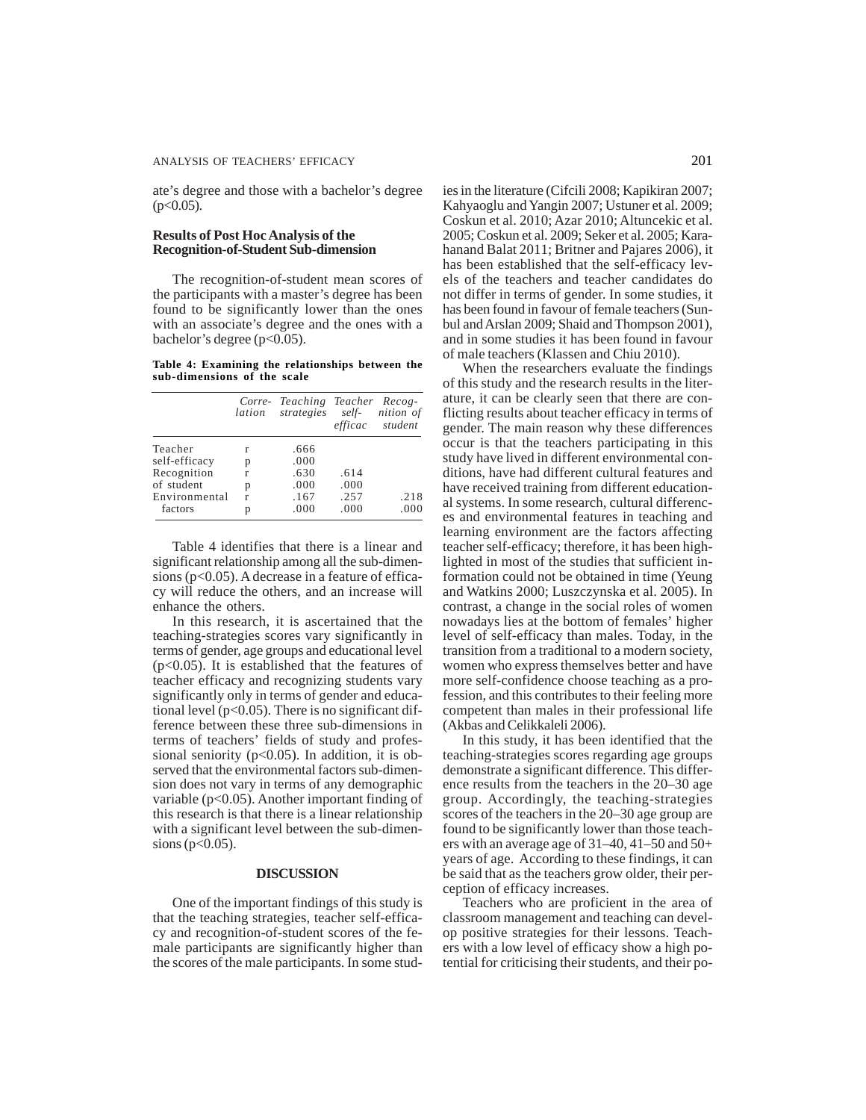ate's degree and those with a bachelor's degree  $(p<0.05)$ .

## **Results of Post Hoc Analysis of the Recognition-of-Student Sub-dimension**

The recognition-of-student mean scores of the participants with a master's degree has been found to be significantly lower than the ones with an associate's degree and the ones with a bachelor's degree  $(p<0.05)$ .

**Table 4: Examining the relationships between the sub-dimensions of the scale**

|               |   | Corre- Teaching Teacher Recog-<br>lation strategies self- nition of |      | efficac student |
|---------------|---|---------------------------------------------------------------------|------|-----------------|
| Teacher       | r | .666                                                                |      |                 |
| self-efficacy | p | .000                                                                |      |                 |
| Recognition   | r | .630                                                                | .614 |                 |
| of student    | p | .000                                                                | .000 |                 |
| Environmental | r | .167                                                                | .257 | .218            |
| factors       | р | .000                                                                | .000 | .000            |

Table 4 identifies that there is a linear and significant relationship among all the sub-dimensions (p<0.05). A decrease in a feature of efficacy will reduce the others, and an increase will enhance the others.

In this research, it is ascertained that the teaching-strategies scores vary significantly in terms of gender, age groups and educational level (p<0.05). It is established that the features of teacher efficacy and recognizing students vary significantly only in terms of gender and educational level ( $p<0.05$ ). There is no significant difference between these three sub-dimensions in terms of teachers' fields of study and professional seniority ( $p<0.05$ ). In addition, it is observed that the environmental factors sub-dimension does not vary in terms of any demographic variable (p<0.05). Another important finding of this research is that there is a linear relationship with a significant level between the sub-dimensions ( $p < 0.05$ ).

## **DISCUSSION**

One of the important findings of this study is that the teaching strategies, teacher self-efficacy and recognition-of-student scores of the female participants are significantly higher than the scores of the male participants. In some stud-

ies in the literature (Cifcili 2008; Kapikiran 2007; Kahyaoglu and Yangin 2007; Ustuner et al. 2009; Coskun et al. 2010; Azar 2010; Altuncekic et al. 2005; Coskun et al. 2009; Seker et al. 2005; Karahanand Balat 2011; Britner and Pajares 2006), it has been established that the self-efficacy levels of the teachers and teacher candidates do not differ in terms of gender. In some studies, it has been found in favour of female teachers (Sunbul and Arslan 2009; Shaid and Thompson 2001), and in some studies it has been found in favour of male teachers (Klassen and Chiu 2010).

When the researchers evaluate the findings of this study and the research results in the literature, it can be clearly seen that there are conflicting results about teacher efficacy in terms of gender. The main reason why these differences occur is that the teachers participating in this study have lived in different environmental conditions, have had different cultural features and have received training from different educational systems. In some research, cultural differences and environmental features in teaching and learning environment are the factors affecting teacher self-efficacy; therefore, it has been highlighted in most of the studies that sufficient information could not be obtained in time (Yeung and Watkins 2000; Luszczynska et al. 2005). In contrast, a change in the social roles of women nowadays lies at the bottom of females' higher level of self-efficacy than males. Today, in the transition from a traditional to a modern society, women who express themselves better and have more self-confidence choose teaching as a profession, and this contributes to their feeling more competent than males in their professional life (Akbas and Celikkaleli 2006).

In this study, it has been identified that the teaching-strategies scores regarding age groups demonstrate a significant difference. This difference results from the teachers in the 20–30 age group. Accordingly, the teaching-strategies scores of the teachers in the 20–30 age group are found to be significantly lower than those teachers with an average age of 31–40, 41–50 and 50+ years of age. According to these findings, it can be said that as the teachers grow older, their perception of efficacy increases.

Teachers who are proficient in the area of classroom management and teaching can develop positive strategies for their lessons. Teachers with a low level of efficacy show a high potential for criticising their students, and their po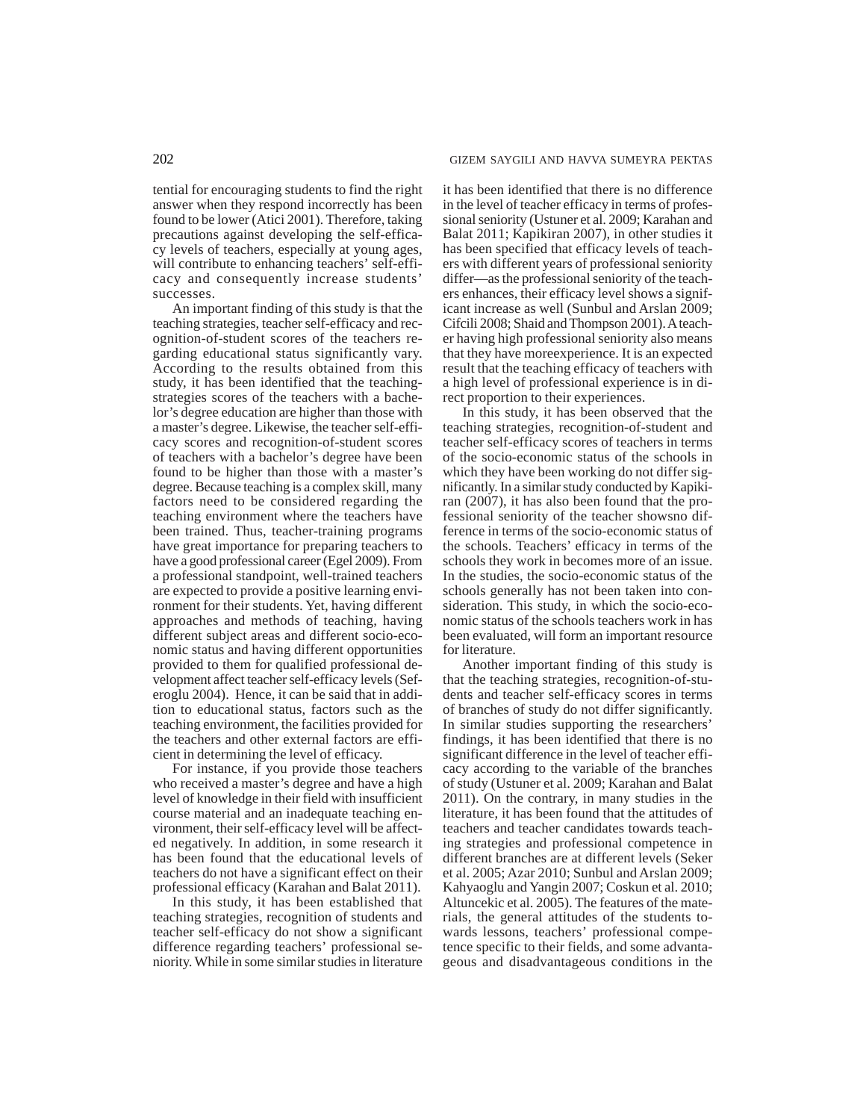tential for encouraging students to find the right answer when they respond incorrectly has been found to be lower (Atici 2001). Therefore, taking precautions against developing the self-efficacy levels of teachers, especially at young ages, will contribute to enhancing teachers' self-efficacy and consequently increase students' successes.

An important finding of this study is that the teaching strategies, teacher self-efficacy and recognition-of-student scores of the teachers regarding educational status significantly vary. According to the results obtained from this study, it has been identified that the teachingstrategies scores of the teachers with a bachelor's degree education are higher than those with a master's degree. Likewise, the teacher self-efficacy scores and recognition-of-student scores of teachers with a bachelor's degree have been found to be higher than those with a master's degree. Because teaching is a complex skill, many factors need to be considered regarding the teaching environment where the teachers have been trained. Thus, teacher-training programs have great importance for preparing teachers to have a good professional career (Egel 2009). From a professional standpoint, well-trained teachers are expected to provide a positive learning environment for their students. Yet, having different approaches and methods of teaching, having different subject areas and different socio-economic status and having different opportunities provided to them for qualified professional development affect teacher self-efficacy levels (Seferoglu 2004). Hence, it can be said that in addition to educational status, factors such as the teaching environment, the facilities provided for the teachers and other external factors are efficient in determining the level of efficacy.

For instance, if you provide those teachers who received a master's degree and have a high level of knowledge in their field with insufficient course material and an inadequate teaching environment, their self-efficacy level will be affected negatively. In addition, in some research it has been found that the educational levels of teachers do not have a significant effect on their professional efficacy (Karahan and Balat 2011).

In this study, it has been established that teaching strategies, recognition of students and teacher self-efficacy do not show a significant difference regarding teachers' professional seniority. While in some similar studies in literature it has been identified that there is no difference in the level of teacher efficacy in terms of professional seniority (Ustuner et al. 2009; Karahan and Balat 2011; Kapikiran 2007), in other studies it has been specified that efficacy levels of teachers with different years of professional seniority differ—as the professional seniority of the teachers enhances, their efficacy level shows a significant increase as well (Sunbul and Arslan 2009; Cifcili 2008; Shaid and Thompson 2001). A teacher having high professional seniority also means that they have moreexperience. It is an expected result that the teaching efficacy of teachers with a high level of professional experience is in direct proportion to their experiences.

In this study, it has been observed that the teaching strategies, recognition-of-student and teacher self-efficacy scores of teachers in terms of the socio-economic status of the schools in which they have been working do not differ significantly. In a similar study conducted by Kapikiran (2007), it has also been found that the professional seniority of the teacher showsno difference in terms of the socio-economic status of the schools. Teachers' efficacy in terms of the schools they work in becomes more of an issue. In the studies, the socio-economic status of the schools generally has not been taken into consideration. This study, in which the socio-economic status of the schools teachers work in has been evaluated, will form an important resource for literature.

Another important finding of this study is that the teaching strategies, recognition-of-students and teacher self-efficacy scores in terms of branches of study do not differ significantly. In similar studies supporting the researchers' findings, it has been identified that there is no significant difference in the level of teacher efficacy according to the variable of the branches of study (Ustuner et al. 2009; Karahan and Balat 2011). On the contrary, in many studies in the literature, it has been found that the attitudes of teachers and teacher candidates towards teaching strategies and professional competence in different branches are at different levels (Seker et al. 2005; Azar 2010; Sunbul and Arslan 2009; Kahyaoglu and Yangin 2007; Coskun et al. 2010; Altuncekic et al. 2005). The features of the materials, the general attitudes of the students towards lessons, teachers' professional competence specific to their fields, and some advantageous and disadvantageous conditions in the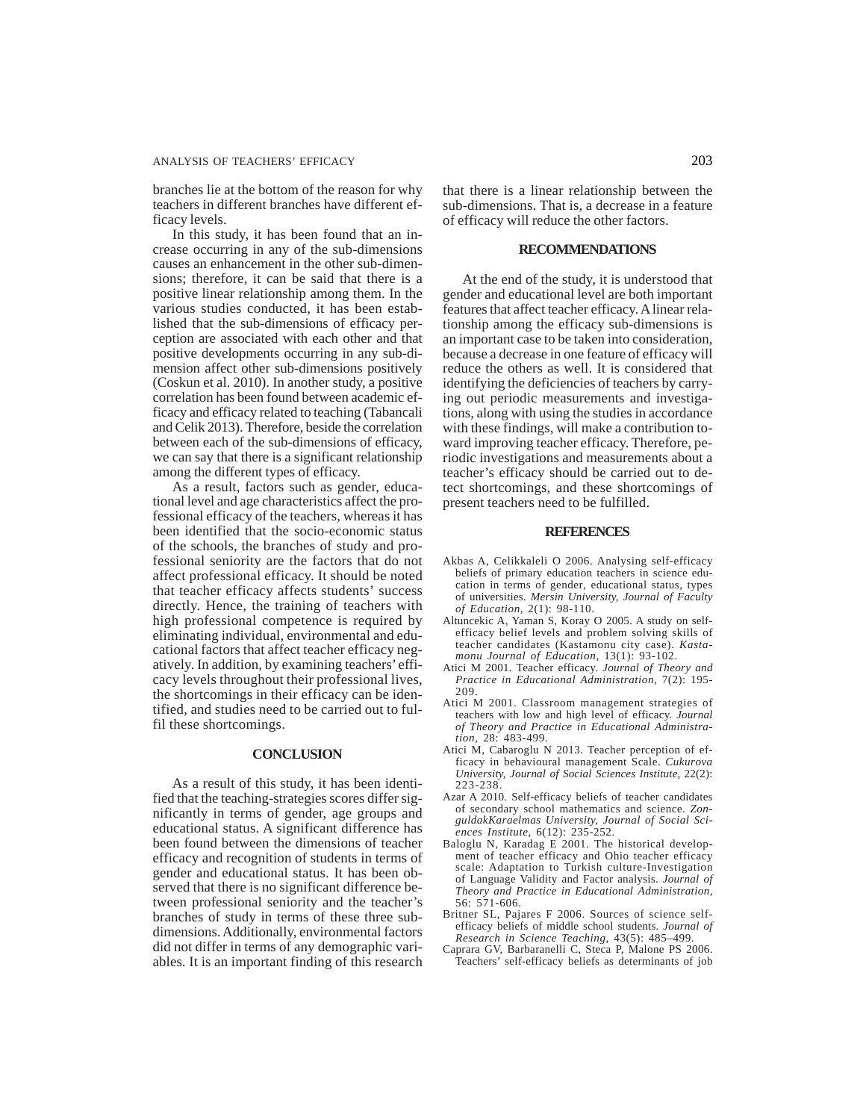## ANALYSIS OF TEACHERS' EFFICACY 203

branches lie at the bottom of the reason for why teachers in different branches have different efficacy levels.

In this study, it has been found that an increase occurring in any of the sub-dimensions causes an enhancement in the other sub-dimensions; therefore, it can be said that there is a positive linear relationship among them. In the various studies conducted, it has been established that the sub-dimensions of efficacy perception are associated with each other and that positive developments occurring in any sub-dimension affect other sub-dimensions positively (Coskun et al. 2010). In another study, a positive correlation has been found between academic efficacy and efficacy related to teaching (Tabancali and Celik 2013). Therefore, beside the correlation between each of the sub-dimensions of efficacy, we can say that there is a significant relationship among the different types of efficacy.

As a result, factors such as gender, educational level and age characteristics affect the professional efficacy of the teachers, whereas it has been identified that the socio-economic status of the schools, the branches of study and professional seniority are the factors that do not affect professional efficacy. It should be noted that teacher efficacy affects students' success directly. Hence, the training of teachers with high professional competence is required by eliminating individual, environmental and educational factors that affect teacher efficacy negatively. In addition, by examining teachers' efficacy levels throughout their professional lives, the shortcomings in their efficacy can be identified, and studies need to be carried out to fulfil these shortcomings.

#### **CONCLUSION**

As a result of this study, it has been identified that the teaching-strategies scores differ significantly in terms of gender, age groups and educational status. A significant difference has been found between the dimensions of teacher efficacy and recognition of students in terms of gender and educational status. It has been observed that there is no significant difference between professional seniority and the teacher's branches of study in terms of these three subdimensions. Additionally, environmental factors did not differ in terms of any demographic variables. It is an important finding of this research

that there is a linear relationship between the sub-dimensions. That is, a decrease in a feature of efficacy will reduce the other factors.

### **RECOMMENDATIONS**

At the end of the study, it is understood that gender and educational level are both important features that affect teacher efficacy. A linear relationship among the efficacy sub-dimensions is an important case to be taken into consideration, because a decrease in one feature of efficacy will reduce the others as well. It is considered that identifying the deficiencies of teachers by carrying out periodic measurements and investigations, along with using the studies in accordance with these findings, will make a contribution toward improving teacher efficacy. Therefore, periodic investigations and measurements about a teacher's efficacy should be carried out to detect shortcomings, and these shortcomings of present teachers need to be fulfilled.

#### **REFERENCES**

- Akbas A, Celikkaleli O 2006. Analysing self-efficacy beliefs of primary education teachers in science education in terms of gender, educational status, types of universities. *Mersin University, Journal of Faculty of Education,* 2(1): 98-110.
- Altuncekic A, Yaman S, Koray O 2005. A study on selfefficacy belief levels and problem solving skills of teacher candidates (Kastamonu city case). *Kastamonu Journal of Education,* 13(1): 93-102.
- Atici M 2001. Teacher efficacy. *Journal of Theory and Practice in Educational Administration,* 7(2): 195- 209.
- Atici M 2001. Classroom management strategies of teachers with low and high level of efficacy. *Journal of Theory and Practice in Educational Administration,* 28: 483-499.
- Atici M, Cabaroglu N 2013. Teacher perception of efficacy in behavioural management Scale. *Cukurova University, Journal of Social Sciences Institute,* 22(2): 223-238.
- Azar A 2010. Self-efficacy beliefs of teacher candidates of secondary school mathematics and science. *ZonguldakKaraelmas University, Journal of Social Sciences Institute,* 6(12): 235-252.
- Baloglu N, Karadag E 2001. The historical development of teacher efficacy and Ohio teacher efficacy scale: Adaptation to Turkish culture-Investigation of Language Validity and Factor analysis. *Journal of Theory and Practice in Educational Administration,* 56: 571-606.
- Britner SL, Pajares F 2006. Sources of science selfefficacy beliefs of middle school students. *Journal of Research in Science Teaching,* 43(5): 485–499.
- Caprara GV, Barbaranelli C, Steca P, Malone PS 2006. Teachers' self-efficacy beliefs as determinants of job